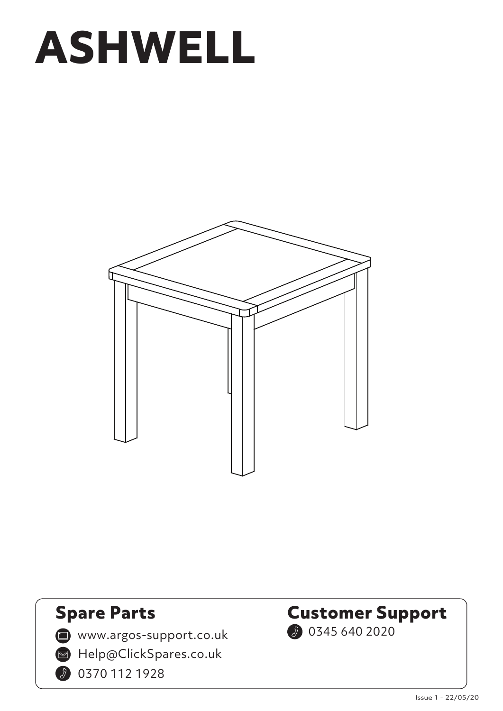



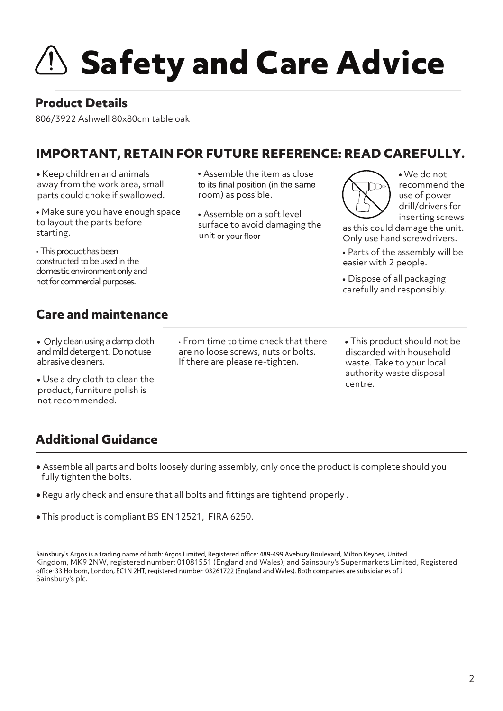# $\mathbf{S}$  Safety and Care Advice

#### **Product Details**

806/3922 Ashwell 80x80cm table oak

#### **IMPORTANT, RETAIN FOR FUTURE REFERENCE: READ CAREFULLY.**

Keep children and animals away from the work area, small parts could choke if swallowed.

Make sure you have enough space to layout the parts before starting.

• This product has been constructed to be used in the domestic environment only and not for commercial purposes.

Assemble the item as close to its final position (in the same room) as possible.

Assemble on a soft level unit or your floor surface to avoid damaging the

We do not recommend the use of power drill/drivers for inserting screws

as this could damage the unit. Only use hand screwdrivers.

Parts of the assembly will be easier with 2 people.

Dispose of all packaging carefully and responsibly.

#### **Care and maintenance**

• Only clean using a damp cloth and mild detergent. Do notuse abrasivecleaners.

Use a dry cloth to clean the product, furniture polish is not recommended.

• From time to time check that there are no loose screws, nuts or bolts. If there are please re-tighten.

This product should not be discarded with household waste. Take to your local authority waste disposal centre.

#### **Additional Guidance**

- Assemble all parts and bolts loosely during assembly, only once the product is complete should you fully tighten the bolts.
- Regularly check and ensure that all bolts and fittings are tightend properly .
- This product is compliant BS EN 12521, FIRA 6250. ●

Sainsbury's Argos is a trading name of both: Argos Limited, Registered office: 489-499 Avebury Boulevard, Milton Keynes, United Kingdom, MK9 2NW, registered number: 01081551 (England and Wales); and Sainsbury's Supermarkets Limited, Registered office: 33 Holborn, London, EC1N 2HT, registered number: 03261722 (England and Wales). Both companies are subsidiaries of J Sainsbury's plc.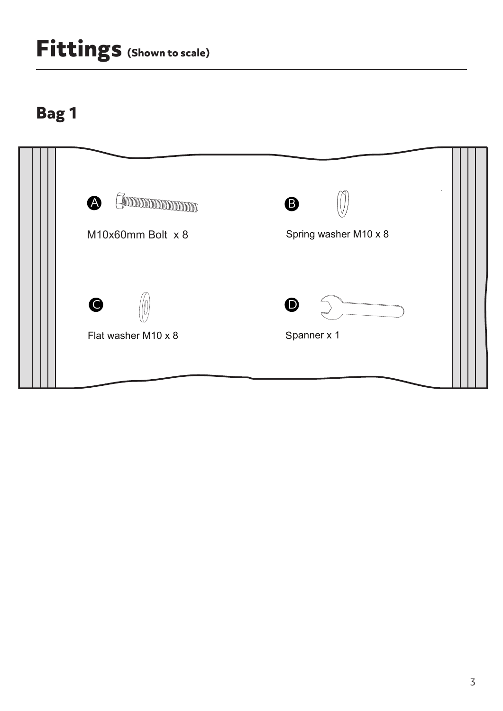## **Fittings (Shown to scale)**

### **Bag 1**

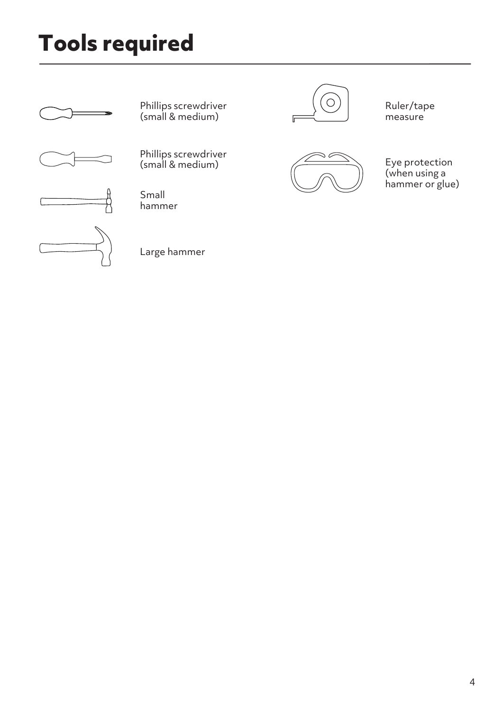## **Tools required**







Phillips screwdriver (small & medium)

Phillips screwdriver  $(\textsf{small} \& \textsf{medium})$  Eye protection

Small hammer

Large hammer



Ruler/tape measure



(when using a hammer or glue)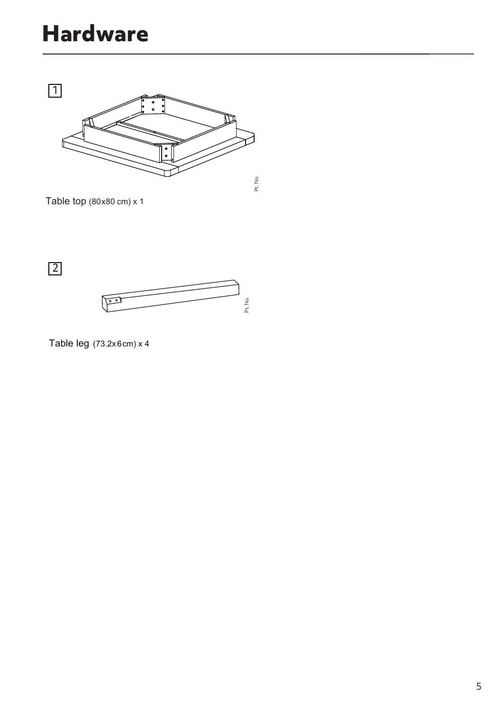### **Hardware**



Table top (80x80 cm) x 1

2



Table leg (73.2x6cm) x 4